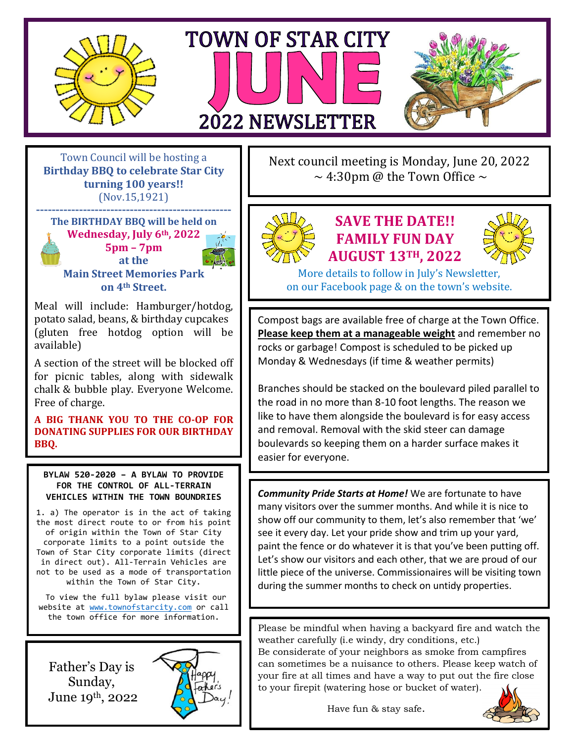





Town Council will be hosting a **Birthday BBQ to celebrate Star City turning 100 years!!** (Nov.15,1921)

**-------------------------------------------------- The BIRTHDAY BBQ will be held on Wednesday, July 6th, 2022 5pm – 7pm at the Main Street Memories Park on 4th Street.**

Meal will include: Hamburger/hotdog, potato salad, beans, & birthday cupcakes (gluten free hotdog option will be available)

A section of the street will be blocked off for picnic tables, along with sidewalk chalk & bubble play. Everyone Welcome. Free of charge.

**A BIG THANK YOU TO THE CO-OP FOR DONATING SUPPLIES FOR OUR BIRTHDAY BBQ.**

**BYLAW 520-2020 – A BYLAW TO PROVIDE FOR THE CONTROL OF ALL-TERRAIN VEHICLES WITHIN THE TOWN BOUNDRIES**

1. a) The operator is in the act of taking the most direct route to or from his point of origin within the Town of Star City corporate limits to a point outside the Town of Star City corporate limits (direct in direct out). All-Terrain Vehicles are not to be used as a mode of transportation within the Town of Star City.

To view the full bylaw please visit our website at [www.townofstarcity.com](http://www.townofstarcity.com/) or call the town office for more information.

Father's Day is Sunday, June 19th, 2022



Next council meeting is Monday, June 20, 2022  $\sim$  4:30pm @ the Town Office  $\sim$ 



## **SAVE THE DATE!! FAMILY FUN DAY AUGUST 13TH, 2022**



More details to follow in July's Newsletter, on our Facebook page & on the town's website.

Compost bags are available free of charge at the Town Office. **Please keep them at a manageable weight** and remember no rocks or garbage! Compost is scheduled to be picked up Monday & Wednesdays (if time & weather permits)

Branches should be stacked on the boulevard piled parallel to the road in no more than 8-10 foot lengths. The reason we like to have them alongside the boulevard is for easy access and removal. Removal with the skid steer can damage boulevards so keeping them on a harder surface makes it easier for everyone.

*Community Pride Starts at Home!* We are fortunate to have many visitors over the summer months. And while it is nice to show off our community to them, let's also remember that 'we' see it every day. Let your pride show and trim up your yard, paint the fence or do whatever it is that you've been putting off. Let's show our visitors and each other, that we are proud of our little piece of the universe. Commissionaires will be visiting town during the summer months to check on untidy properties.

Please be mindful when having a backyard fire and watch the weather carefully (i.e windy, dry conditions, etc.) Be considerate of your neighbors as smoke from campfires can sometimes be a nuisance to others. Please keep watch of your fire at all times and have a way to put out the fire close to your firepit (watering hose or bucket of water).

Have fun & stay safe.